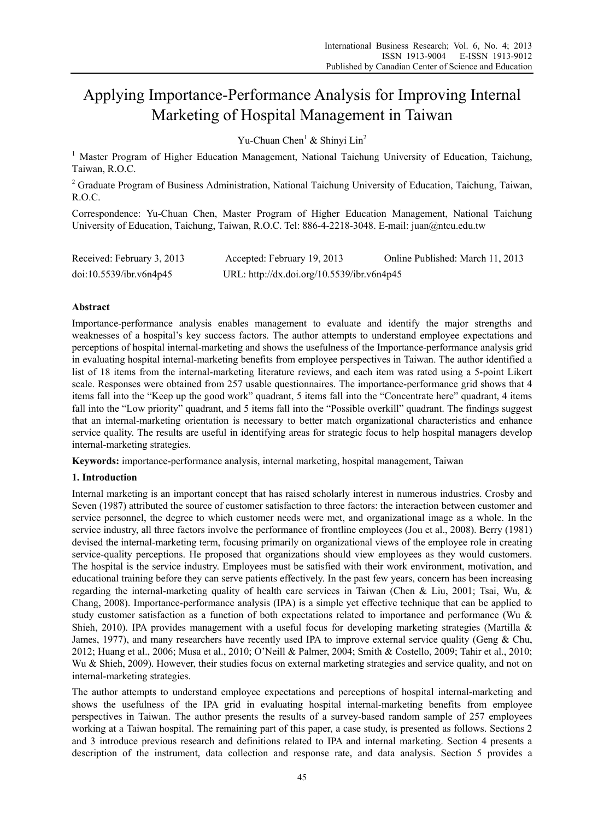# Applying Importance-Performance Analysis for Improving Internal Marketing of Hospital Management in Taiwan

Yu-Chuan Chen<sup>1</sup> & Shinyi Lin<sup>2</sup>

<sup>1</sup> Master Program of Higher Education Management, National Taichung University of Education, Taichung, Taiwan, R.O.C.

<sup>2</sup> Graduate Program of Business Administration, National Taichung University of Education, Taichung, Taiwan, R.O.C.

Correspondence: Yu-Chuan Chen, Master Program of Higher Education Management, National Taichung University of Education, Taichung, Taiwan, R.O.C. Tel: 886-4-2218-3048. E-mail: juan@ntcu.edu.tw

| Received: February 3, 2013 | Accepted: February 19, 2013                | Online Published: March 11, 2013 |
|----------------------------|--------------------------------------------|----------------------------------|
| doi:10.5539/ibr.v6n4p45    | URL: http://dx.doi.org/10.5539/ibr.v6n4p45 |                                  |

## **Abstract**

Importance-performance analysis enables management to evaluate and identify the major strengths and weaknesses of a hospital's key success factors. The author attempts to understand employee expectations and perceptions of hospital internal-marketing and shows the usefulness of the Importance-performance analysis grid in evaluating hospital internal-marketing benefits from employee perspectives in Taiwan. The author identified a list of 18 items from the internal-marketing literature reviews, and each item was rated using a 5-point Likert scale. Responses were obtained from 257 usable questionnaires. The importance-performance grid shows that 4 items fall into the "Keep up the good work" quadrant, 5 items fall into the "Concentrate here" quadrant, 4 items fall into the "Low priority" quadrant, and 5 items fall into the "Possible overkill" quadrant. The findings suggest that an internal-marketing orientation is necessary to better match organizational characteristics and enhance service quality. The results are useful in identifying areas for strategic focus to help hospital managers develop internal-marketing strategies.

**Keywords:** importance-performance analysis, internal marketing, hospital management, Taiwan

## **1. Introduction**

Internal marketing is an important concept that has raised scholarly interest in numerous industries. Crosby and Seven (1987) attributed the source of customer satisfaction to three factors: the interaction between customer and service personnel, the degree to which customer needs were met, and organizational image as a whole. In the service industry, all three factors involve the performance of frontline employees (Jou et al., 2008). Berry (1981) devised the internal-marketing term, focusing primarily on organizational views of the employee role in creating service-quality perceptions. He proposed that organizations should view employees as they would customers. The hospital is the service industry. Employees must be satisfied with their work environment, motivation, and educational training before they can serve patients effectively. In the past few years, concern has been increasing regarding the internal-marketing quality of health care services in Taiwan (Chen & Liu, 2001; Tsai, Wu, & Chang, 2008). Importance-performance analysis (IPA) is a simple yet effective technique that can be applied to study customer satisfaction as a function of both expectations related to importance and performance (Wu & Shieh, 2010). IPA provides management with a useful focus for developing marketing strategies (Martilla  $\&$ James, 1977), and many researchers have recently used IPA to improve external service quality (Geng & Chu, 2012; Huang et al., 2006; Musa et al., 2010; O'Neill & Palmer, 2004; Smith & Costello, 2009; Tahir et al., 2010; Wu & Shieh, 2009). However, their studies focus on external marketing strategies and service quality, and not on internal-marketing strategies.

The author attempts to understand employee expectations and perceptions of hospital internal-marketing and shows the usefulness of the IPA grid in evaluating hospital internal-marketing benefits from employee perspectives in Taiwan. The author presents the results of a survey-based random sample of 257 employees working at a Taiwan hospital. The remaining part of this paper, a case study, is presented as follows. Sections 2 and 3 introduce previous research and definitions related to IPA and internal marketing. Section 4 presents a description of the instrument, data collection and response rate, and data analysis. Section 5 provides a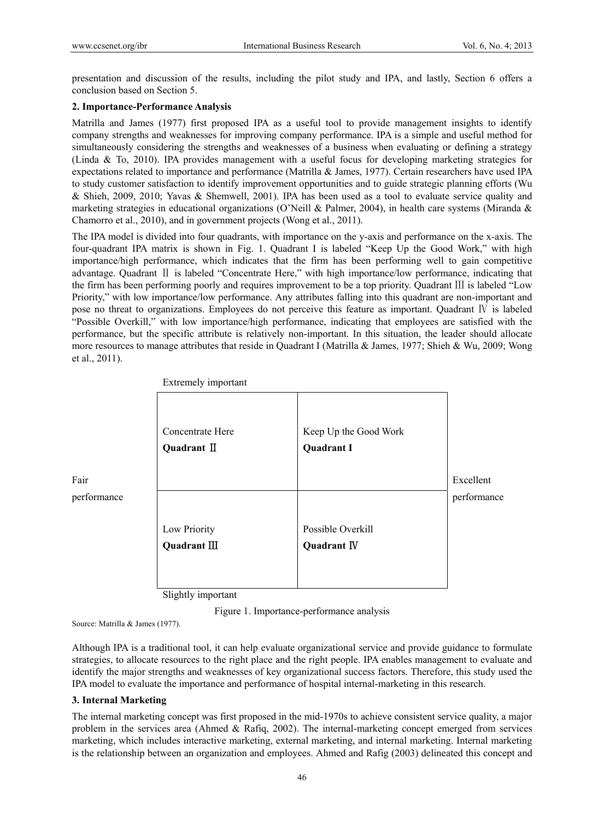presentation and discussion of the results, including the pilot study and IPA, and lastly, Section 6 offers a conclusion based on Section 5.

## **2. Importance-Performance Analysis**

Matrilla and James (1977) first proposed IPA as a useful tool to provide management insights to identify company strengths and weaknesses for improving company performance. IPA is a simple and useful method for simultaneously considering the strengths and weaknesses of a business when evaluating or defining a strategy (Linda & To, 2010). IPA provides management with a useful focus for developing marketing strategies for expectations related to importance and performance (Matrilla & James, 1977). Certain researchers have used IPA to study customer satisfaction to identify improvement opportunities and to guide strategic planning efforts (Wu & Shieh, 2009, 2010; Yavas & Shemwell, 2001). IPA has been used as a tool to evaluate service quality and marketing strategies in educational organizations (O'Neill & Palmer, 2004), in health care systems (Miranda & Chamorro et al., 2010), and in government projects (Wong et al., 2011).

The IPA model is divided into four quadrants, with importance on the y-axis and performance on the x-axis. The four-quadrant IPA matrix is shown in Fig. 1. Quadrant Ι is labeled "Keep Up the Good Work," with high importance/high performance, which indicates that the firm has been performing well to gain competitive advantage. Quadrant Ⅱ is labeled "Concentrate Here," with high importance/low performance, indicating that the firm has been performing poorly and requires improvement to be a top priority. Quadrant Ⅲ is labeled "Low Priority," with low importance/low performance. Any attributes falling into this quadrant are non-important and pose no threat to organizations. Employees do not perceive this feature as important. Quadrant Ⅳ is labeled "Possible Overkill," with low importance/high performance, indicating that employees are satisfied with the performance, but the specific attribute is relatively non-important. In this situation, the leader should allocate more resources to manage attributes that reside in Quadrant Ι (Matrilla & James, 1977; Shieh & Wu, 2009; Wong et al., 2011).



Extremely important

Slightly important

Figure 1. Importance-performance analysis

Source: Matrilla & James (1977).

Although IPA is a traditional tool, it can help evaluate organizational service and provide guidance to formulate strategies, to allocate resources to the right place and the right people. IPA enables management to evaluate and identify the major strengths and weaknesses of key organizational success factors. Therefore, this study used the IPA model to evaluate the importance and performance of hospital internal-marketing in this research.

## **3. Internal Marketing**

The internal marketing concept was first proposed in the mid-1970s to achieve consistent service quality, a major problem in the services area (Ahmed & Rafiq, 2002). The internal-marketing concept emerged from services marketing, which includes interactive marketing, external marketing, and internal marketing. Internal marketing is the relationship between an organization and employees. Ahmed and Rafig (2003) delineated this concept and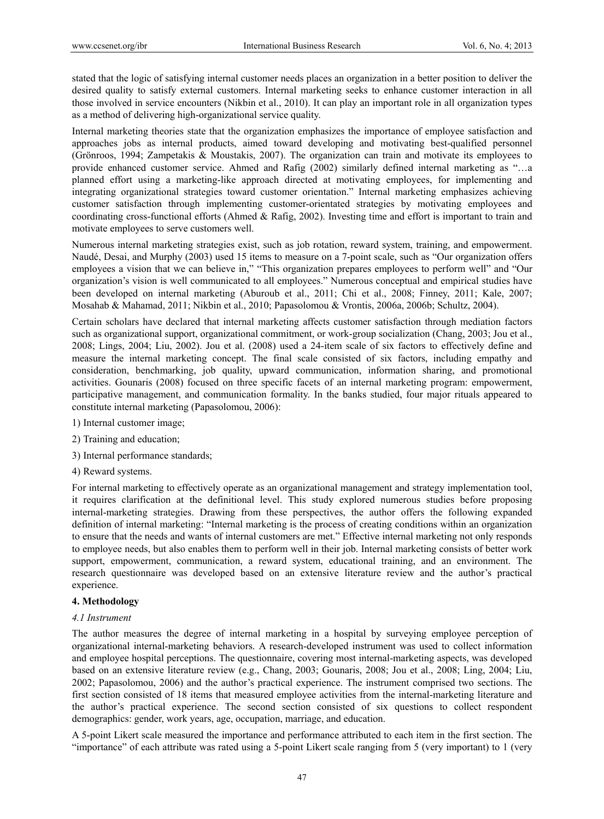stated that the logic of satisfying internal customer needs places an organization in a better position to deliver the desired quality to satisfy external customers. Internal marketing seeks to enhance customer interaction in all those involved in service encounters (Nikbin et al., 2010). It can play an important role in all organization types as a method of delivering high-organizational service quality.

Internal marketing theories state that the organization emphasizes the importance of employee satisfaction and approaches jobs as internal products, aimed toward developing and motivating best-qualified personnel (Grönroos, 1994; Zampetakis & Moustakis, 2007). The organization can train and motivate its employees to provide enhanced customer service. Ahmed and Rafig (2002) similarly defined internal marketing as "…a planned effort using a marketing-like approach directed at motivating employees, for implementing and integrating organizational strategies toward customer orientation." Internal marketing emphasizes achieving customer satisfaction through implementing customer-orientated strategies by motivating employees and coordinating cross-functional efforts (Ahmed & Rafig, 2002). Investing time and effort is important to train and motivate employees to serve customers well.

Numerous internal marketing strategies exist, such as job rotation, reward system, training, and empowerment. Naudé, Desai, and Murphy (2003) used 15 items to measure on a 7-point scale, such as "Our organization offers employees a vision that we can believe in," "This organization prepares employees to perform well" and "Our organization's vision is well communicated to all employees." Numerous conceptual and empirical studies have been developed on internal marketing (Aburoub et al., 2011; Chi et al., 2008; Finney, 2011; Kale, 2007; Mosahab & Mahamad, 2011; Nikbin et al., 2010; Papasolomou & Vrontis, 2006a, 2006b; Schultz, 2004).

Certain scholars have declared that internal marketing affects customer satisfaction through mediation factors such as organizational support, organizational commitment, or work-group socialization (Chang, 2003; Jou et al., 2008; Lings, 2004; Liu, 2002). Jou et al. (2008) used a 24-item scale of six factors to effectively define and measure the internal marketing concept. The final scale consisted of six factors, including empathy and consideration, benchmarking, job quality, upward communication, information sharing, and promotional activities. Gounaris (2008) focused on three specific facets of an internal marketing program: empowerment, participative management, and communication formality. In the banks studied, four major rituals appeared to constitute internal marketing (Papasolomou, 2006):

- 1) Internal customer image;
- 2) Training and education;
- 3) Internal performance standards;
- 4) Reward systems.

For internal marketing to effectively operate as an organizational management and strategy implementation tool, it requires clarification at the definitional level. This study explored numerous studies before proposing internal-marketing strategies. Drawing from these perspectives, the author offers the following expanded definition of internal marketing: "Internal marketing is the process of creating conditions within an organization to ensure that the needs and wants of internal customers are met." Effective internal marketing not only responds to employee needs, but also enables them to perform well in their job. Internal marketing consists of better work support, empowerment, communication, a reward system, educational training, and an environment. The research questionnaire was developed based on an extensive literature review and the author's practical experience.

#### **4. Methodology**

#### *4.1 Instrument*

The author measures the degree of internal marketing in a hospital by surveying employee perception of organizational internal-marketing behaviors. A research-developed instrument was used to collect information and employee hospital perceptions. The questionnaire, covering most internal-marketing aspects, was developed based on an extensive literature review (e.g., Chang, 2003; Gounaris, 2008; Jou et al., 2008; Ling, 2004; Liu, 2002; Papasolomou, 2006) and the author's practical experience. The instrument comprised two sections. The first section consisted of 18 items that measured employee activities from the internal-marketing literature and the author's practical experience. The second section consisted of six questions to collect respondent demographics: gender, work years, age, occupation, marriage, and education.

A 5-point Likert scale measured the importance and performance attributed to each item in the first section. The "importance" of each attribute was rated using a 5-point Likert scale ranging from 5 (very important) to 1 (very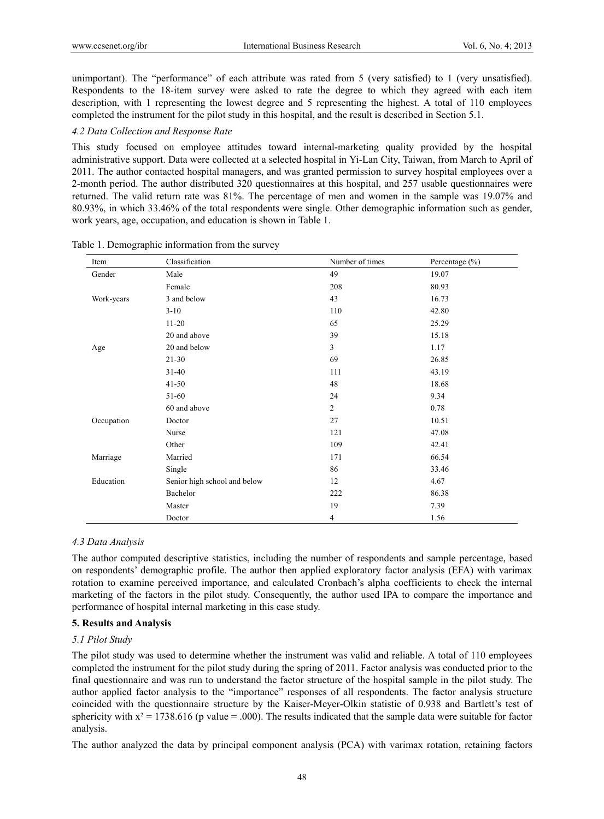unimportant). The "performance" of each attribute was rated from 5 (very satisfied) to 1 (very unsatisfied). Respondents to the 18-item survey were asked to rate the degree to which they agreed with each item description, with 1 representing the lowest degree and 5 representing the highest. A total of 110 employees completed the instrument for the pilot study in this hospital, and the result is described in Section 5.1.

#### *4.2 Data Collection and Response Rate*

This study focused on employee attitudes toward internal-marketing quality provided by the hospital administrative support. Data were collected at a selected hospital in Yi-Lan City, Taiwan, from March to April of 2011. The author contacted hospital managers, and was granted permission to survey hospital employees over a 2-month period. The author distributed 320 questionnaires at this hospital, and 257 usable questionnaires were returned. The valid return rate was 81%. The percentage of men and women in the sample was 19.07% and 80.93%, in which 33.46% of the total respondents were single. Other demographic information such as gender, work years, age, occupation, and education is shown in Table 1.

| Item       | Classification               | Number of times | Percentage $(\% )$ |
|------------|------------------------------|-----------------|--------------------|
| Gender     | Male                         | 49              | 19.07              |
|            | Female                       | 208             | 80.93              |
| Work-years | 3 and below                  | 43              | 16.73              |
|            | $3 - 10$                     | 110             | 42.80              |
|            | $11 - 20$                    | 65              | 25.29              |
|            | 20 and above                 | 39              | 15.18              |
| Age        | 20 and below                 | 3               | 1.17               |
|            | $21 - 30$                    | 69              | 26.85              |
|            | $31 - 40$                    | 111             | 43.19              |
|            | $41 - 50$                    | 48              | 18.68              |
|            | 51-60                        | 24              | 9.34               |
|            | 60 and above                 | $\overline{2}$  | 0.78               |
| Occupation | Doctor                       | 27              | 10.51              |
|            | Nurse                        | 121             | 47.08              |
|            | Other                        | 109             | 42.41              |
| Marriage   | Married                      | 171             | 66.54              |
|            | Single                       | 86              | 33.46              |
| Education  | Senior high school and below | 12              | 4.67               |
|            | Bachelor                     | 222             | 86.38              |
|            | Master                       | 19              | 7.39               |
|            | Doctor                       | $\overline{4}$  | 1.56               |

Table 1. Demographic information from the survey

#### *4.3 Data Analysis*

The author computed descriptive statistics, including the number of respondents and sample percentage, based on respondents' demographic profile. The author then applied exploratory factor analysis (EFA) with varimax rotation to examine perceived importance, and calculated Cronbach's alpha coefficients to check the internal marketing of the factors in the pilot study. Consequently, the author used IPA to compare the importance and performance of hospital internal marketing in this case study.

### **5. Results and Analysis**

#### *5.1 Pilot Study*

The pilot study was used to determine whether the instrument was valid and reliable. A total of 110 employees completed the instrument for the pilot study during the spring of 2011. Factor analysis was conducted prior to the final questionnaire and was run to understand the factor structure of the hospital sample in the pilot study. The author applied factor analysis to the "importance" responses of all respondents. The factor analysis structure coincided with the questionnaire structure by the Kaiser-Meyer-Olkin statistic of 0.938 and Bartlett's test of sphericity with  $x^2 = 1738.616$  (p value = .000). The results indicated that the sample data were suitable for factor analysis.

The author analyzed the data by principal component analysis (PCA) with varimax rotation, retaining factors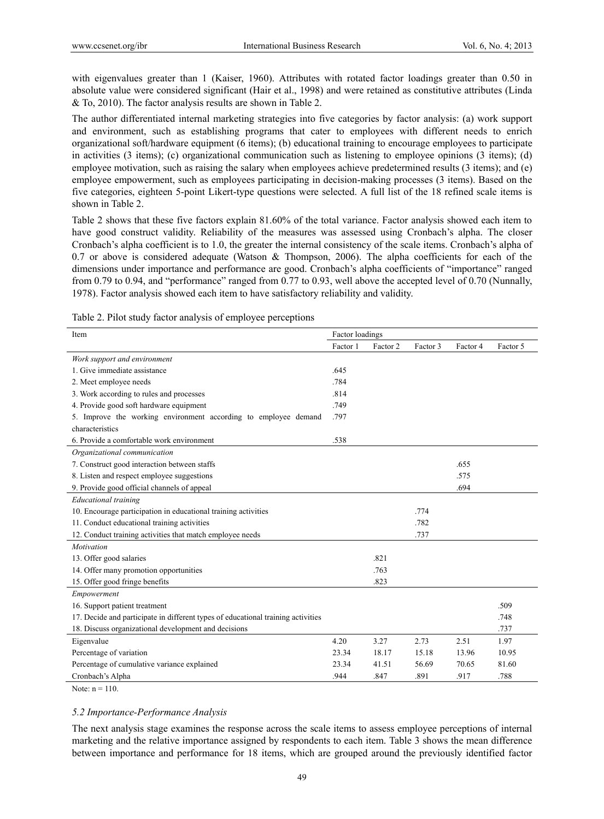with eigenvalues greater than 1 (Kaiser, 1960). Attributes with rotated factor loadings greater than 0.50 in absolute value were considered significant (Hair et al., 1998) and were retained as constitutive attributes (Linda & To, 2010). The factor analysis results are shown in Table 2.

The author differentiated internal marketing strategies into five categories by factor analysis: (a) work support and environment, such as establishing programs that cater to employees with different needs to enrich organizational soft/hardware equipment (6 items); (b) educational training to encourage employees to participate in activities (3 items); (c) organizational communication such as listening to employee opinions (3 items); (d) employee motivation, such as raising the salary when employees achieve predetermined results (3 items); and (e) employee empowerment, such as employees participating in decision-making processes (3 items). Based on the five categories, eighteen 5-point Likert-type questions were selected. A full list of the 18 refined scale items is shown in Table 2.

Table 2 shows that these five factors explain 81.60% of the total variance. Factor analysis showed each item to have good construct validity. Reliability of the measures was assessed using Cronbach's alpha. The closer Cronbach's alpha coefficient is to 1.0, the greater the internal consistency of the scale items. Cronbach's alpha of 0.7 or above is considered adequate (Watson & Thompson, 2006). The alpha coefficients for each of the dimensions under importance and performance are good. Cronbach's alpha coefficients of "importance" ranged from 0.79 to 0.94, and "performance" ranged from 0.77 to 0.93, well above the accepted level of 0.70 (Nunnally, 1978). Factor analysis showed each item to have satisfactory reliability and validity.

| Item                                                                             | Factor loadings |          |          |          |          |
|----------------------------------------------------------------------------------|-----------------|----------|----------|----------|----------|
|                                                                                  | Factor 1        | Factor 2 | Factor 3 | Factor 4 | Factor 5 |
| Work support and environment                                                     |                 |          |          |          |          |
| 1. Give immediate assistance                                                     | .645            |          |          |          |          |
| 2. Meet employee needs                                                           | .784            |          |          |          |          |
| 3. Work according to rules and processes                                         | .814            |          |          |          |          |
| 4. Provide good soft hardware equipment                                          | .749            |          |          |          |          |
| 5. Improve the working environment according to employee demand                  | .797            |          |          |          |          |
| characteristics                                                                  |                 |          |          |          |          |
| 6. Provide a comfortable work environment                                        | .538            |          |          |          |          |
| Organizational communication                                                     |                 |          |          |          |          |
| 7. Construct good interaction between staffs                                     |                 |          |          | .655     |          |
| 8. Listen and respect employee suggestions                                       |                 |          |          | .575     |          |
| 9. Provide good official channels of appeal                                      |                 |          |          | .694     |          |
| <b>Educational training</b>                                                      |                 |          |          |          |          |
| 10. Encourage participation in educational training activities                   |                 |          | .774     |          |          |
| 11. Conduct educational training activities                                      |                 |          | .782     |          |          |
| 12. Conduct training activities that match employee needs                        |                 |          | .737     |          |          |
| Motivation                                                                       |                 |          |          |          |          |
| 13. Offer good salaries                                                          |                 | .821     |          |          |          |
| 14. Offer many promotion opportunities                                           |                 | .763     |          |          |          |
| 15. Offer good fringe benefits                                                   |                 | .823     |          |          |          |
| Empowerment                                                                      |                 |          |          |          |          |
| 16. Support patient treatment                                                    |                 |          |          |          | .509     |
| 17. Decide and participate in different types of educational training activities |                 |          |          |          | .748     |
| 18. Discuss organizational development and decisions                             |                 |          |          |          | .737     |
| Eigenvalue                                                                       | 4.20            | 3.27     | 2.73     | 2.51     | 1.97     |
| Percentage of variation                                                          | 23.34           | 18.17    | 15.18    | 13.96    | 10.95    |
| Percentage of cumulative variance explained                                      | 23.34           | 41.51    | 56.69    | 70.65    | 81.60    |
| Cronbach's Alpha                                                                 | .944            | .847     | .891     | .917     | .788     |

Table 2. Pilot study factor analysis of employee perceptions

Note:  $n = 110$ .

## *5.2 Importance-Performance Analysis*

The next analysis stage examines the response across the scale items to assess employee perceptions of internal marketing and the relative importance assigned by respondents to each item. Table 3 shows the mean difference between importance and performance for 18 items, which are grouped around the previously identified factor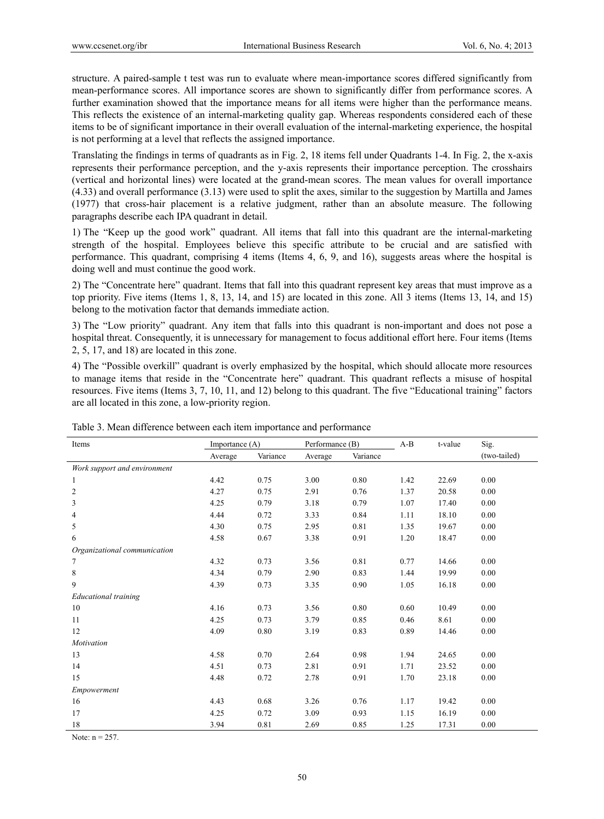structure. A paired-sample t test was run to evaluate where mean-importance scores differed significantly from mean-performance scores. All importance scores are shown to significantly differ from performance scores. A further examination showed that the importance means for all items were higher than the performance means. This reflects the existence of an internal-marketing quality gap. Whereas respondents considered each of these items to be of significant importance in their overall evaluation of the internal-marketing experience, the hospital is not performing at a level that reflects the assigned importance.

Translating the findings in terms of quadrants as in Fig. 2, 18 items fell under Quadrants 1-4. In Fig. 2, the x-axis represents their performance perception, and the y-axis represents their importance perception. The crosshairs (vertical and horizontal lines) were located at the grand-mean scores. The mean values for overall importance (4.33) and overall performance (3.13) were used to split the axes, similar to the suggestion by Martilla and James (1977) that cross-hair placement is a relative judgment, rather than an absolute measure. The following paragraphs describe each IPA quadrant in detail.

1) The "Keep up the good work" quadrant. All items that fall into this quadrant are the internal-marketing strength of the hospital. Employees believe this specific attribute to be crucial and are satisfied with performance. This quadrant, comprising 4 items (Items 4, 6, 9, and 16), suggests areas where the hospital is doing well and must continue the good work.

2) The "Concentrate here" quadrant. Items that fall into this quadrant represent key areas that must improve as a top priority. Five items (Items 1, 8, 13, 14, and 15) are located in this zone. All 3 items (Items 13, 14, and 15) belong to the motivation factor that demands immediate action.

3) The "Low priority" quadrant. Any item that falls into this quadrant is non-important and does not pose a hospital threat. Consequently, it is unnecessary for management to focus additional effort here. Four items (Items 2, 5, 17, and 18) are located in this zone.

4) The "Possible overkill" quadrant is overly emphasized by the hospital, which should allocate more resources to manage items that reside in the "Concentrate here" quadrant. This quadrant reflects a misuse of hospital resources. Five items (Items 3, 7, 10, 11, and 12) belong to this quadrant. The five "Educational training" factors are all located in this zone, a low-priority region.

| Items                        | Importance (A) |          | Performance (B) |          | $A-B$ | t-value | Sig.         |  |
|------------------------------|----------------|----------|-----------------|----------|-------|---------|--------------|--|
|                              | Average        | Variance | Average         | Variance |       |         | (two-tailed) |  |
| Work support and environment |                |          |                 |          |       |         |              |  |
| 1                            | 4.42           | 0.75     | 3.00            | 0.80     | 1.42  | 22.69   | 0.00         |  |
| $\mathbf{2}$                 | 4.27           | 0.75     | 2.91            | 0.76     | 1.37  | 20.58   | 0.00         |  |
| 3                            | 4.25           | 0.79     | 3.18            | 0.79     | 1.07  | 17.40   | 0.00         |  |
| $\overline{4}$               | 4.44           | 0.72     | 3.33            | 0.84     | 1.11  | 18.10   | 0.00         |  |
| 5                            | 4.30           | 0.75     | 2.95            | 0.81     | 1.35  | 19.67   | 0.00         |  |
| 6                            | 4.58           | 0.67     | 3.38            | 0.91     | 1.20  | 18.47   | 0.00         |  |
| Organizational communication |                |          |                 |          |       |         |              |  |
| 7                            | 4.32           | 0.73     | 3.56            | 0.81     | 0.77  | 14.66   | 0.00         |  |
| 8                            | 4.34           | 0.79     | 2.90            | 0.83     | 1.44  | 19.99   | 0.00         |  |
| 9                            | 4.39           | 0.73     | 3.35            | 0.90     | 1.05  | 16.18   | 0.00         |  |
| <b>Educational training</b>  |                |          |                 |          |       |         |              |  |
| 10                           | 4.16           | 0.73     | 3.56            | 0.80     | 0.60  | 10.49   | 0.00         |  |
| 11                           | 4.25           | 0.73     | 3.79            | 0.85     | 0.46  | 8.61    | 0.00         |  |
| 12                           | 4.09           | 0.80     | 3.19            | 0.83     | 0.89  | 14.46   | 0.00         |  |
| Motivation                   |                |          |                 |          |       |         |              |  |
| 13                           | 4.58           | 0.70     | 2.64            | 0.98     | 1.94  | 24.65   | 0.00         |  |
| 14                           | 4.51           | 0.73     | 2.81            | 0.91     | 1.71  | 23.52   | 0.00         |  |
| 15                           | 4.48           | 0.72     | 2.78            | 0.91     | 1.70  | 23.18   | 0.00         |  |
| Empowerment                  |                |          |                 |          |       |         |              |  |
| 16                           | 4.43           | 0.68     | 3.26            | 0.76     | 1.17  | 19.42   | 0.00         |  |
| 17                           | 4.25           | 0.72     | 3.09            | 0.93     | 1.15  | 16.19   | 0.00         |  |
| 18                           | 3.94           | 0.81     | 2.69            | 0.85     | 1.25  | 17.31   | 0.00         |  |

Table 3. Mean difference between each item importance and performance

Note:  $n = 257$ .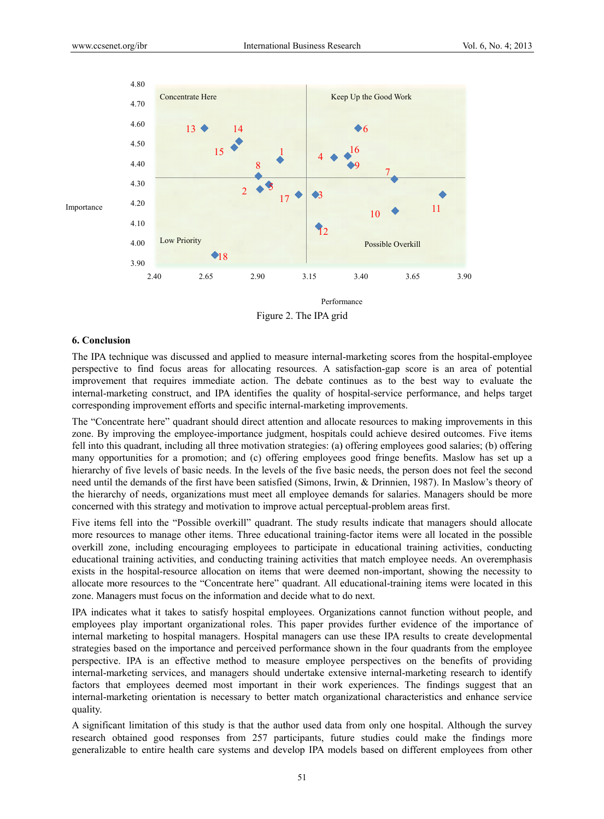

Figure 2. The IPA grid

#### **6. Conclus sion**

The IPA technique was discussed and applied to measure internal-marketing scores from the hospital-employee perspective to find focus areas for allocating resources. A satisfaction-gap score is an area of potential improvement that requires immediate action. The debate continues as to the best way to evaluate the internal-marketing construct, and IPA identifies the quality of hospital-service performance, and helps target corresponding improvement efforts and specific internal-marketing improvements.

The "Concentrate here" quadrant should direct attention and allocate resources to making improvements in this zone. By improving the employee-importance judgment, hospitals could achieve desired outcomes. Five items fell into this quadrant, including all three motivation strategies: (a) offering employees good salaries; (b) offering many opportunities for a promotion; and (c) offering employees good fringe benefits. Maslow has set up a hierarchy of five levels of basic needs. In the levels of the five basic needs, the person does not feel the second need until the demands of the first have been satisfied (Simons, Irwin, & Drinnien, 1987). In Maslow's theory of the hierarchy of needs, organizations must meet all employee demands for salaries. Managers should be more concerned with this strategy and motivation to improve actual perceptual-problem areas first.

Five items fell into the "Possible overkill" quadrant. The study results indicate that managers should allocate more resources to manage other items. Three educational training-factor items were all located in the possible overkill zone, including encouraging employees to participate in educational training activities, conducting educational training activities, and conducting training activities that match employee needs. An overemphasis exists in the hospital-resource allocation on items that were deemed non-important, showing the necessity to allocate more resources to the "Concentrate here" quadrant. All educational-training items were located in this zone. Managers must focus on the information and decide what to do next.

IPA indicates what it takes to satisfy hospital employees. Organizations cannot function without people, and employees play important organizational roles. This paper provides further evidence of the importance of internal marketing to hospital managers. Hospital managers can use these IPA results to create developmental strategies based on the importance and perceived performance shown in the four quadrants from the employee perspective. IPA is an effective method to measure employee perspectives on the benefits of providing internal-marketing services, and managers should undertake extensive internal-marketing research to identify factors that employees deemed most important in their work experiences. The findings suggest that an internal-marketing orientation is necessary to better match organizational characteristics and enhance service quality.

A significant limitation of this study is that the author used data from only one hospital. Although the survey research obtained good responses from 257 participants, future studies could make the findings more generalizable to entire health care systems and develop IPA models based on different employees from other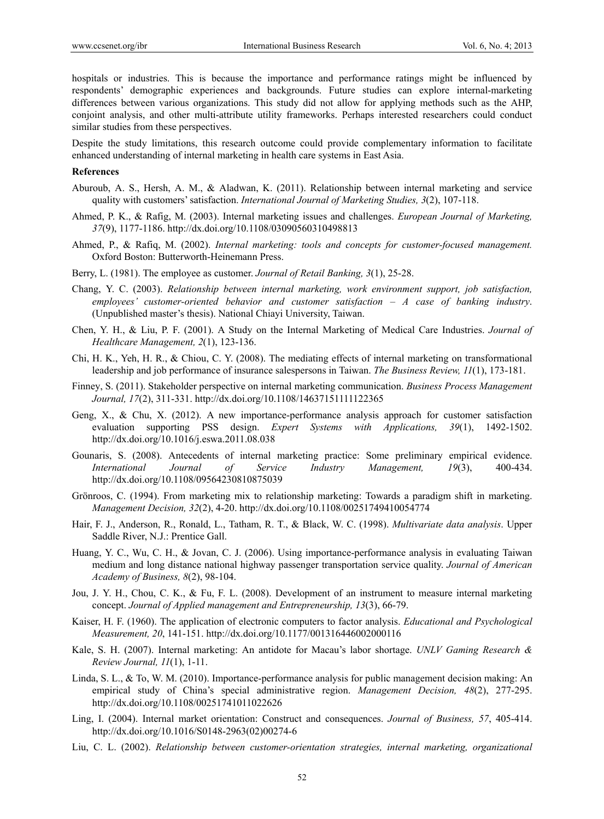hospitals or industries. This is because the importance and performance ratings might be influenced by respondents' demographic experiences and backgrounds. Future studies can explore internal-marketing differences between various organizations. This study did not allow for applying methods such as the AHP, conjoint analysis, and other multi-attribute utility frameworks. Perhaps interested researchers could conduct similar studies from these perspectives.

Despite the study limitations, this research outcome could provide complementary information to facilitate enhanced understanding of internal marketing in health care systems in East Asia.

#### **References**

- Aburoub, A. S., Hersh, A. M., & Aladwan, K. (2011). Relationship between internal marketing and service quality with customers' satisfaction. *International Journal of Marketing Studies, 3*(2), 107-118.
- Ahmed, P. K., & Rafig, M. (2003). Internal marketing issues and challenges. *European Journal of Marketing, 37*(9), 1177-1186. http://dx.doi.org/10.1108/03090560310498813
- Ahmed, P., & Rafiq, M. (2002). *Internal marketing: tools and concepts for customer-focused management.* Oxford Boston: Butterworth-Heinemann Press.
- Berry, L. (1981). The employee as customer. *Journal of Retail Banking, 3*(1), 25-28.
- Chang, Y. C. (2003). *Relationship between internal marketing, work environment support, job satisfaction, employees' customer-oriented behavior and customer satisfaction – A case of banking industry*. (Unpublished master's thesis). National Chiayi University, Taiwan.
- Chen, Y. H., & Liu, P. F. (2001). A Study on the Internal Marketing of Medical Care Industries. *Journal of Healthcare Management, 2*(1), 123-136.
- Chi, H. K., Yeh, H. R., & Chiou, C. Y. (2008). The mediating effects of internal marketing on transformational leadership and job performance of insurance salespersons in Taiwan. *The Business Review, 11*(1), 173-181.
- Finney, S. (2011). Stakeholder perspective on internal marketing communication. *Business Process Management Journal, 17*(2), 311-331. http://dx.doi.org/10.1108/14637151111122365
- Geng, X., & Chu, X. (2012). A new importance-performance analysis approach for customer satisfaction evaluation supporting PSS design. *Expert Systems with Applications, 39*(1), 1492-1502. http://dx.doi.org/10.1016/j.eswa.2011.08.038
- Gounaris, S. (2008). Antecedents of internal marketing practice: Some preliminary empirical evidence. *International Journal of Service Industry Management, 19*(3), 400-434. http://dx.doi.org/10.1108/09564230810875039
- Grönroos, C. (1994). From marketing mix to relationship marketing: Towards a paradigm shift in marketing. *Management Decision, 32*(2), 4-20. http://dx.doi.org/10.1108/00251749410054774
- Hair, F. J., Anderson, R., Ronald, L., Tatham, R. T., & Black, W. C. (1998). *Multivariate data analysis*. Upper Saddle River, N.J.: Prentice Gall.
- Huang, Y. C., Wu, C. H., & Jovan, C. J. (2006). Using importance-performance analysis in evaluating Taiwan medium and long distance national highway passenger transportation service quality. *Journal of American Academy of Business, 8*(2), 98-104.
- Jou, J. Y. H., Chou, C. K., & Fu, F. L. (2008). Development of an instrument to measure internal marketing concept. *Journal of Applied management and Entrepreneurship, 13*(3), 66-79.
- Kaiser, H. F. (1960). The application of electronic computers to factor analysis. *Educational and Psychological Measurement, 20*, 141-151. http://dx.doi.org/10.1177/001316446002000116
- Kale, S. H. (2007). Internal marketing: An antidote for Macau's labor shortage. *UNLV Gaming Research & Review Journal, 11*(1), 1-11.
- Linda, S. L., & To, W. M. (2010). Importance-performance analysis for public management decision making: An empirical study of China's special administrative region. *Management Decision, 48*(2), 277-295. http://dx.doi.org/10.1108/00251741011022626
- Ling, I. (2004). Internal market orientation: Construct and consequences. *Journal of Business, 57*, 405-414. http://dx.doi.org/10.1016/S0148-2963(02)00274-6
- Liu, C. L. (2002). *Relationship between customer-orientation strategies, internal marketing, organizational*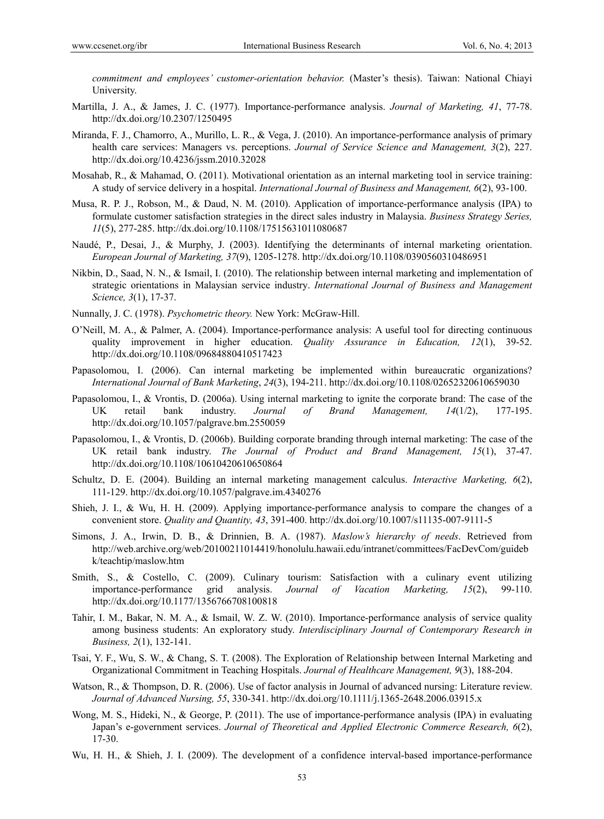*commitment and employees' customer-orientation behavior.* (Master's thesis). Taiwan: National Chiayi University.

- Martilla, J. A., & James, J. C. (1977). Importance-performance analysis. *Journal of Marketing, 41*, 77-78. http://dx.doi.org/10.2307/1250495
- Miranda, F. J., Chamorro, A., Murillo, L. R., & Vega, J. (2010). An importance-performance analysis of primary health care services: Managers vs. perceptions. *Journal of Service Science and Management, 3*(2), 227. http://dx.doi.org/10.4236/jssm.2010.32028
- Mosahab, R., & Mahamad, O. (2011). Motivational orientation as an internal marketing tool in service training: A study of service delivery in a hospital. *International Journal of Business and Management, 6*(2), 93-100.
- Musa, R. P. J., Robson, M., & Daud, N. M. (2010). Application of importance-performance analysis (IPA) to formulate customer satisfaction strategies in the direct sales industry in Malaysia. *Business Strategy Series, 11*(5), 277-285. http://dx.doi.org/10.1108/17515631011080687
- Naudé, P., Desai, J., & Murphy, J. (2003). Identifying the determinants of internal marketing orientation. *European Journal of Marketing, 37*(9), 1205-1278. http://dx.doi.org/10.1108/0390560310486951
- Nikbin, D., Saad, N. N., & Ismail, I. (2010). The relationship between internal marketing and implementation of strategic orientations in Malaysian service industry. *International Journal of Business and Management Science, 3*(1), 17-37.
- Nunnally, J. C. (1978). *Psychometric theory.* New York: McGraw-Hill.
- O'Neill, M. A., & Palmer, A. (2004). Importance-performance analysis: A useful tool for directing continuous quality improvement in higher education. *Quality Assurance in Education, 12*(1), 39-52. http://dx.doi.org/10.1108/09684880410517423
- Papasolomou, I. (2006). Can internal marketing be implemented within bureaucratic organizations? *International Journal of Bank Marketing*, *24*(3), 194-211. http://dx.doi.org/10.1108/02652320610659030
- Papasolomou, I., & Vrontis, D. (2006a). Using internal marketing to ignite the corporate brand: The case of the UK retail bank industry. *Journal of Brand Management, 14*(1/2), 177-195. http://dx.doi.org/10.1057/palgrave.bm.2550059
- Papasolomou, I., & Vrontis, D. (2006b). Building corporate branding through internal marketing: The case of the UK retail bank industry. *The Journal of Product and Brand Management, 15*(1), 37-47. http://dx.doi.org/10.1108/10610420610650864
- Schultz, D. E. (2004). Building an internal marketing management calculus. *Interactive Marketing, 6*(2), 111-129. http://dx.doi.org/10.1057/palgrave.im.4340276
- Shieh, J. I., & Wu, H. H. (2009). Applying importance-performance analysis to compare the changes of a convenient store. *Quality and Quantity, 43*, 391-400. http://dx.doi.org/10.1007/s11135-007-9111-5
- Simons, J. A., Irwin, D. B., & Drinnien, B. A. (1987). *Maslow's hierarchy of needs*. Retrieved from http://web.archive.org/web/20100211014419/honolulu.hawaii.edu/intranet/committees/FacDevCom/guideb k/teachtip/maslow.htm
- Smith, S., & Costello, C. (2009). Culinary tourism: Satisfaction with a culinary event utilizing importance-performance grid analysis. *Journal of Vacation Marketing, 15*(2), 99-110. http://dx.doi.org/10.1177/1356766708100818
- Tahir, I. M., Bakar, N. M. A., & Ismail, W. Z. W. (2010). Importance-performance analysis of service quality among business students: An exploratory study. *Interdisciplinary Journal of Contemporary Research in Business, 2*(1), 132-141.
- Tsai, Y. F., Wu, S. W., & Chang, S. T. (2008). The Exploration of Relationship between Internal Marketing and Organizational Commitment in Teaching Hospitals. *Journal of Healthcare Management, 9*(3), 188-204.
- Watson, R., & Thompson, D. R. (2006). Use of factor analysis in Journal of advanced nursing: Literature review. *Journal of Advanced Nursing, 55*, 330-341. http://dx.doi.org/10.1111/j.1365-2648.2006.03915.x
- Wong, M. S., Hideki, N., & George, P. (2011). The use of importance-performance analysis (IPA) in evaluating Japan's e-government services. *Journal of Theoretical and Applied Electronic Commerce Research, 6*(2), 17-30.
- Wu, H. H., & Shieh, J. I. (2009). The development of a confidence interval-based importance-performance